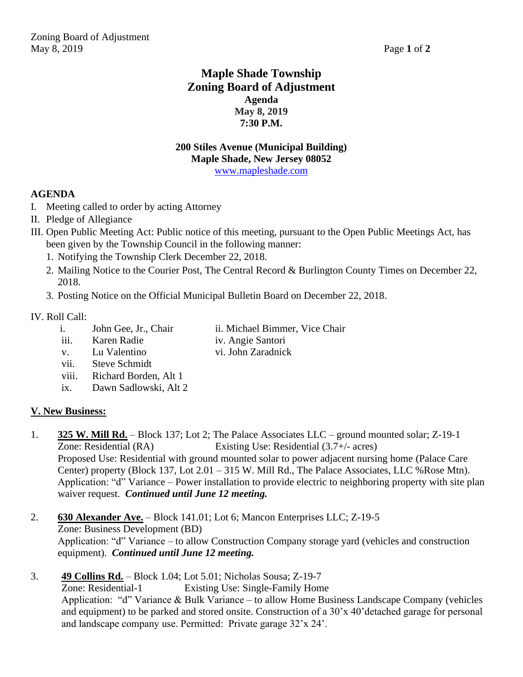# **Maple Shade Township Zoning Board of Adjustment Agenda May 8, 2019 7:30 P.M.**

#### **200 Stiles Avenue (Municipal Building) Maple Shade, New Jersey 08052** [www.mapleshade.com](http://www.mapleshade.com/)

# **AGENDA**

- I. Meeting called to order by acting Attorney
- II. Pledge of Allegiance
- III. Open Public Meeting Act: Public notice of this meeting, pursuant to the Open Public Meetings Act, has been given by the Township Council in the following manner:
	- 1. Notifying the Township Clerk December 22, 2018.
	- 2. Mailing Notice to the Courier Post, The Central Record & Burlington County Times on December 22, 2018.
	- 3. Posting Notice on the Official Municipal Bulletin Board on December 22, 2018.

## IV. Roll Call:

- i. John Gee, Jr., Chair ii. Michael Bimmer, Vice Chair
- iii. Karen Radie iv. Angie Santori
	-
- v. Lu Valentino vi. John Zaradnick
- vii. Steve Schmidt
- viii. Richard Borden, Alt 1
- ix. Dawn Sadlowski, Alt 2

# **V. New Business:**

- 1. **325 W. Mill Rd.** Block 137; Lot 2; The Palace Associates LLC ground mounted solar; Z-19-1 Zone: Residential (RA) Existing Use: Residential (3.7+/- acres) Proposed Use: Residential with ground mounted solar to power adjacent nursing home (Palace Care Center) property (Block 137, Lot 2.01 – 315 W. Mill Rd., The Palace Associates, LLC %Rose Mtn). Application: "d" Variance – Power installation to provide electric to neighboring property with site plan waiver request. *Continued until June 12 meeting.*
- 2. **630 Alexander Ave.** Block 141.01; Lot 6; Mancon Enterprises LLC; Z-19-5 Zone: Business Development (BD) Application: "d" Variance – to allow Construction Company storage yard (vehicles and construction equipment). *Continued until June 12 meeting.*
- 3. **49 Collins Rd.** Block 1.04; Lot 5.01; Nicholas Sousa; Z-19-7 Zone: Residential-1 Existing Use: Single-Family Home Application: "d" Variance & Bulk Variance – to allow Home Business Landscape Company (vehicles and equipment) to be parked and stored onsite. Construction of a 30'x 40'detached garage for personal and landscape company use. Permitted: Private garage 32'x 24'.